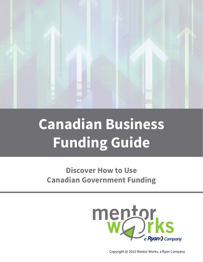

# **Canadian Business Funding Guide**

# **Discover How to Use Canadian Government Funding**

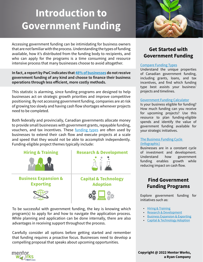# <span id="page-1-0"></span>**Introduction to Government Funding**

Accessing government funding can be intimidating for business owners that are not familiar with the process. Understanding the types of funding available, how it's distributed from the funding body to recipients, and who can apply for the programs is a time consuming and resource intensive process that many businesses choose to avoid altogether.

**In fact, a report by PwC indicates that [48% of businesses](http://bit.ly/2OYppIj) do not receive government funding of any kind and choose to finance their business operations through less efficient, more costly methods.**

This statistic is alarming, since funding programs are designed to help businesses act on strategic growth priorities and improve competitive positioning. By not accessing government funding, companies are at risk of growing too slowly and having cash flow shortages whenever projects need to be completed.

Both federally and provincially, Canadian governments allocate money to provide small businesses with government grants, repayable funding, vouchers, and tax incentives. These [funding types](https://bit.ly/2wlgPf9) are often used by businesses to extend their cash flow and execute projects at a scale and speed that they would not be able to accomplish independently. Funding-eligible project themes typically include:

### **[Hiring & Training](#page-6-0)**



**[Business Expansion &](#page-8-0)  Exporting**



### **[Research & Development](#page-7-0)**



### **[Capital & Technology](#page-9-0)  Adoption**



To be successful with government funding, the key is knowing which program(s) to apply for and how to navigate the application process. While planning and application can be done internally, there are also advantages in receiving support throughout the process.

Carefully consider all options before getting started and remember that funding requires a proactive focus. Businesses need to develop a compelling proposal that speaks about upcoming opportunities.



# **Get Started with Government Funding**

### [Compare Funding Types](https://bit.ly/2wlgPf9)

Understand the unique properties of Canadian government funding, including grants, loans, and tax incentives, and find which funding type best assists your business' projects and timelines.

### [Government Funding Calculator](https://bit.ly/2MyKi00)

Is your business eligible for funding? How much funding can you receive for upcoming projects? Use this resource to plan funding-eligible spends and identify the value of government funding available for your strategic initiatives.

### [The Business Funding Cycle](https://bit.ly/2P31zv8)  [\(Infographic\)](https://bit.ly/2P31zv8)

Businesses are in a constant cycle of investment and development. Understand how government funding enables growth while reducing impact on cash flow.

# **Find Government Funding Programs**

Explore government funding for initiatives such as:

- [Hiring & Training](https://bit.ly/2BItaQf)
- [Research & Development](https://bit.ly/2MLG0BB)
- [Business Expansion & Exporting](https://bit.ly/2LmEx01)
- [Capital & Technology Adoption](https://bit.ly/2w727sy)

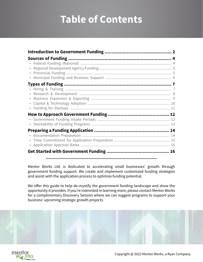# **Table of Contents**

| $\bullet$ |
|-----------|
|           |
|           |
|           |
|           |
|           |

Mentor Works Ltd. is dedicated to accelerating small businesses' growth through government funding support. We create and implement customized funding strategies and assist with the application process to optimize funding potential.

We offer this guide to help de-mystify the government funding landscape and show the opportunity it provides. If you're interested in learning more, please contact Mentor Works for a complimentary Discovery Session where we can suggest programs to support your business' upcoming strategic growth projects.



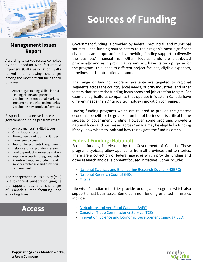<span id="page-3-0"></span>

# **Management Issues Report**

According to survey results compiled by the Canadian Manufacturers & Exporters (CME) association, SMEs ranked the following challenges among the most difficult facing their business:

- Attracting/retaining skilled labour
- Finding clients and partners
- Developing international markets
- Implementing digital technologies
- Developing new products/services

Respondents expressed interest in government funding programs that:

- Attract and retain skilled labour
- Offset labour costs
- Strengthen training and skills dev.
- Lower energy costs
- Support investments in equipment
- Help invest in exploratory research
- Lead to product commercialization
- Improve access to foreign markets
- Prioritize Canadian products and services for federal and provincial procurement

The Management Issues Survey (MIS) is a bi-annual publication guaging the opportunities and challenges of Canada's manufacturing and exporting firms.

# **[Access](https://cme-mec.ca/wp-content/uploads/2018/11/CME-MEC-Survey_2018-v9-min.pdf)**

# **Sources of Funding**

Government funding is provided by federal, provincial, and municipal sources. Each funding source caters to their region's most significant challenges and opportunities by providing funding support to diversify the business' financial risk. Often, federal funds are distributed provincially and each provincial variant will have its own purpose for the program. This leads to different project focuses, eligible expenses, timelines, and contribution amounts.

The range of funding programs available are targeted to regional segments across the country, local needs, priority industries, and other factors that create the funding focus areas and job creation targets. For example, agricultural companies that operate in Western Canada have different needs than Ontario's technology innovation companies.

Having funding programs which are tailored to provide the greatest economic benefit to the greatest number of businesses is critical to the success of government funding. However, some programs provide a national focus and businesses across Canada may be eligible for funding if they know where to look and how to navigate the funding arena.

### **Federal Funding (National)**

Federal funding is released by the Government of Canada. These programs typically allow applicants from all provinces and territories. There are a collection of federal agencies which provide funding and other research and development focused initiatives. Some include:

- [National Sciences and Engineering Research Council \(NSERC\)](https://bit.ly/2P2SN05)
- [National Research Council \(NRC\)](https://bit.ly/1qbdCSA)
- [Mitacs](https://bit.ly/2P48Bjj)

Likewise, Canadian ministries provide funding and programs which also support small businesses. Some common funding-oriented ministries include:

- [Agriculture and Agri-Food Canada \(AAFC\)](https://bit.ly/2wqLCXI)
- [Canadian Trade Commissioner Service \(TCS\)](http://bit.ly/2P56ICV)
- [Innovation, Science and Economic Development Canada \(ISED\)](http://bit.ly/2P2X3MV)

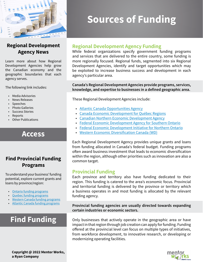<span id="page-4-0"></span>

# **Regional Development Agency News**

Learn more about how Regional Development Agencies help grow the Canadian economy and the geographic boundaries that each agency serves.

The following link includes:

- Media Advisories
- News Releases
- Speeches
- Photo Galleries
- Success Stories
- Reports
- Other Publications

# **[Access](https://www.ic.gc.ca/eic/site/064.nsf/eng/home)**

## **Find Provincial Funding Programs**

To understand your business' funding potential, explore current grants and loans by province/region:

- [Ontario funding programs](https://bit.ly/2OWJ4YY)
- [Quebec funding programs](https://bit.ly/2LphYrl)
- [Western Canada funding programs](https://bit.ly/2BF1uvy)
- [Atlantic Canada funding programs](https://bit.ly/2Nc6v0c)

# **[Find Funding](https://bit.ly/2PviqaO)**

# **Sources of Funding**

### **Regional Development Agency Funding**

While federal organizations specify government funding programs and services that are delivered to the entire country, some funding is more regionally focused. Regional funds, segmented into six Regional Development Agencies, identify and target opportunities which may be exploited to increase business success and development in each agency's particular area.

### **Canada's Regional Development Agencies provide programs, services, knowledge, and expertise to businesses in a defined geographic area.**

These Regional Development Agencies include:

- [Atlantic Canada Opportunities Agency](https://bit.ly/2P2uaR5)
- [Canada Economic Development for Québec Regions](https://bit.ly/2Lq03RD)
- [Canadian Northern Economic Development Agency](https://bit.ly/2P3FLiS)
- [Federal Economic Development Agency for Southern Ontario](https://bit.ly/2wbJkwl)
- [Federal Economic Development Initiative for Northern Ontario](https://bit.ly/2waTmhv)
- [Western Economic Diversification Canada \(WD\)](https://bit.ly/2BGe2Dd)

Each Regional Development Agency provides unique grants and loans from funding allocated in Canada's federal budget. Funding programs often award business investment that leads to economic diversification within the region, although other priorities such as innovation are also a common target.

### **Provincial Funding**

Each province and territory also have funding dedicated to their region. This funding is catered to the area's economic focus. Provincial and territorial funding is delivered by the province or territory which a business operates in and most funding is allocated by the relevant funding agency.

**Provincial funding agencies are usually directed towards expanding certain industries or economic sectors.** 

Only businesses that actively operate in the geographic area or have impact in that region through job creation can apply for funding. Funding offered at the provincial level can focus on multiple types of initiatives, from workforce development, to innovative research, or developing or modernizing operating facilities.

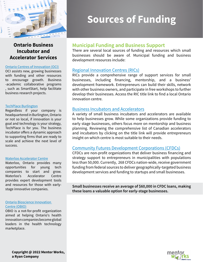<span id="page-5-0"></span>

## **Ontario Business Incubator and Accelerator Services**

#### [Ontario Centres of Innovation \(OCI\)](https://www.oc-innovation.ca/)

OCI assists new, growing businesses with funding and other resources to encourage growth. Business -academic collaborative programs , such as SmartStart, help facilitate business research projects.

#### [TechPlace Burlington](https://bit.ly/2OY8c1A)

Regardless if your company is headquartered in Burlington, Ontario or not so local, if innovation is your goal and technology is your strategy, TechPlace is for you. The business incubator offers a dynamic approach to supporting firms that are ready to scale and achieve the next level of success.

#### [Waterloo Accelerator Centre](https://bit.ly/2MMJOmk)

Waterloo, Ontario provides many opportunities for young tech companies to start and grow. Waterloo's Accelerator Centre provides expert development tools and resources for those with earlystage innovative companies.

#### [Ontario Bioscience Innovation](https://bit.ly/2LmCCbC)  [Centre \(OBIO\)](https://bit.ly/2LmCCbC)

OBIO is a not-for-profit organization aimed at helping Ontario's health innovation companies become global leaders in the health technology marketplace.

# **Sources of Funding**

### **Municipal Funding and Business Support**

There are several local sources of funding and resources which small businesses should be aware of. Municipal funding and business development resources include:

### [Regional Innovation Centres \(RICs\)](https://www.oce-ontario.org/about-us/resources-publications/links)

RICs provide a comprehensive range of support services for small businesses, including financing, mentorship, and a business' development framework. Entrepreneurs can build their skills, network with other business owners, and participate in free workshops to further develop their businesses. Access the RIC title link to find a local Ontario innovation centre.

### [Business Incubators and Accelerators](http://deepcentre.com/)

A variety of small business incubators and accelerators are available to help businesses grow. While some organizations provide funding to early stage businesses, others focus more on mentorship and business planning. Reviewing the comprehensive list of Canadian accelerators and incubators by clicking on the title link will provide entrepreneurs insight on which centre is most suitable to their needs.

### [Community Futures Development Corporations \(CFDCs\)](https://bit.ly/2BIXMRJ)

CFDCs are non-profit organizations that deliver business financing and strategy support to entrepreneurs in municipalities with populations less than 50,000. Currently, 268 CFDCs nation-wide, receive government funding from federal sources to deliver geographically-targeted business development services and funding to startups and small businesses.

**Small businesses receive an average of \$60,000 in CFDC loans, making these loans a valuable option for early-stage businesses.**

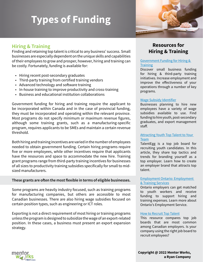

# <span id="page-6-0"></span>**Hiring & Training**

Finding and retaining top talent is critical to any business' success. Small businesses are especially dependent on the unique skills and capabilities of their employees to grow and prosper, however, hiring and training can be costly. Fortunately, funding is available for:

- Hiring recent post-secondary graduates
- Third-party training from certified training vendors
- Advanced technology and software training
- In-house training to improve productivity and cross-training
- Business and educational institution collaborations

Government funding for hiring and training require the applicant to be incorporated within Canada and in the case of provincial funding, they must be incorporated and operating within the relevant province. Most programs do not specify minimum or maximum revenue figures, although some training grants, such as a manufacturing-specific program, requires applicants to be SMEs and maintain a certain revenue threshold.

Both hiring and training incentives are varied in the number of employees needed to obtain government funding. Certain hiring programs require five or more employees, while other incentives require that applicants have the resources and space to accommodate the new hire. Training grant programs range from third-party training incentives for businesses of all sizes to productivity training subsidies specifically for small to midsized manufacturers.

### **These grants are often the most flexible in terms of eligible businesses.**

Some programs are heavily industry focused, such as training programs for manufacturing companies, but others are accessible to most Canadian businesses. There are also hiring wage subsidies focused on certain position types, such as engineering or ICT roles.

Exporting is not a direct requirement of most hiring or training programs unless the program is designed to subsidize the wage of an export-related position. In these cases, a business must present an export expansion strategy.

# **Resources for Hiring & Training**

### [Government Funding for Hiring &](https://bit.ly/2MtJJV3)  **[Training](https://bit.ly/2MtJJV3)**

Discover small business funding for hiring & third-party training initiatives. Increase employment and improve the effectiveness of your operations through a number of key programs.

### [Wage Subsidy Identifier](https://bit.ly/2w751xs)

Businesses planning to hire new employees have a variety of wage subsidies available to use. Find funding to hire youth, post-secondary graduates, and export management staff.

### [Attracting Youth Top Talent to Your](https://bit.ly/2woJXlB)  [Team](https://bit.ly/2woJXlB)

TalentEgg is a top job board for recruiting youth candidates. In this article, they share top tactics and trends for branding yourself as a top employer. Learn how to create an employer brand that attracts top talent.

#### [Employment Ontario: Employment](https://bit.ly/2017dfe)  [& Training Services](https://bit.ly/2017dfe)

Ontario employers can get matched to youth workers and receive funding to support hiring and training expenses. Learn more about Ontario's Employment Service.

### [How to Recruit Top Talent](https://bit.ly/2LrCxU2)

This resource compares top job boards that are most common among Canadian employers. Is your company using the right job board to recruit employees?

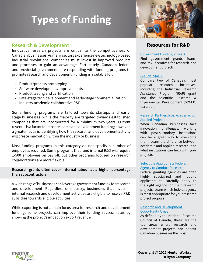

### <span id="page-7-0"></span>**Research & Development**

Innovative research projects are critical to the competitiveness of Canadian businesses. As many sectors experience new technology-based industrial revolutions, companies must invest in improved products and processes to gain an advantage. Fortunately, Canada's federal and provincial governments are responding with funding programs to promote research and development. Funding is available for:

- Product/process prototyping
- Software development/improvements
- Product testing and certification
- Late-stage tech development and early-stage commercialization
- Industry academic collaborative R&D

Some funding programs are tailored towards startups and earlystage businesses, while the majority are targeted towards established companies that are incorporated for a minimum two years. Current revenue is a factor for most research and development funding; however, a greater focus is identifying how the research and development activity will create innovation within the industry or business.

Most funding programs in this category do not specify a number of employees required. Some programs that fund internal R&D will require 1-500 employees on payroll, but other programs focused on research collaborations are more flexible.

### **Research grants often cover internal labour at a higher percentage than subcontractors.**

A wide range of businesses can leverage government funding for research and development. Regardless of industry, businesses that invest in internal research and development activities are eligible to receive R&D subsidies towards eligible activities.

While exporting is not a main focus area for research and development funding, some projects can improve their funding success rates by showing the project's impact on export revenue.

### **Resources for R&D**

#### [Government Funding for R&D](https://bit.ly/2NaDUZ0)

Find government grants, loans, and tax incentives for research and development projects.

#### [IRAP vs. SR&ED](https://bit.ly/2w4tO5x)

Compare two of Canada's most popular research incentives, including the Industrial Research Assistance Program (IRAP) grant and the Scientific Research & Experimental Development (SR&ED) tax credit.

### [Research Partnerships: Academic vs.](https://bit.ly/2NjvX40)  [Applied Projects](https://bit.ly/2NjvX40)

When Canadian businesses face innovation challenges, working with post-secondary institutions can be a great way to overcome them. Learn the difference between academic and applied research, and what institutions can help with your projects.

### [Select the Appropriate Federal](http://bit.ly/2OYZeBk)  [Agency to Conduct Research](http://bit.ly/2OYZeBk)

Federal granting agencies are often highly specialized and require applicants to carefully apply to the right agency for their research projects. Learn which federal agency is most appropriate for your research project proposal.

#### [Research and Development](https://nrc.canada.ca/en/research-development/research-collaboration/programs)  [Opportunity Areas](https://nrc.canada.ca/en/research-development/research-collaboration/programs)

As defined by the National Research Council of Canada, these are the top areas where research and development projects can benefit Canadian businesses the most.



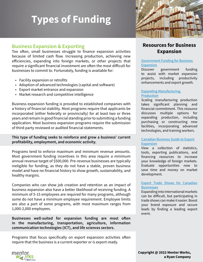

### <span id="page-8-0"></span>**Business Expansion & Exporting**

Too often, small businesses struggle to finance expansion activities because of limited cash flow. Increasing production, achieving new efficiencies, expanding into foreign markets, or other projects that require a significant financial investment are often the most difficult for businesses to commit to. Fortunately, funding is available for:

- Facility expansion or retrofits
- Adoption of advanced technologies (capital and software)
- Export market entrance and expansion
- Market research and competitive intelligence

Business expansion funding is provided to established companies with a history of financial stability. Most programs require that applicants be incorporated (either federally or provincially) for at least two or three years and remain in good financial standing prior to submitting a funding application. Most business expansion programs require the submission of third-party reviewed or audited financial statements.

### **This type of funding seeks to reinforce and grow a business' current profitability, employment, and economic activity.**

Programs tend to enforce maximum and minimum revenue amounts. Most government funding incentives in this area require a minimum annual revenue target of \$500,000. Pre-revenue businesses are typically ineligible for funding, as they do not have a stable, proven business model and have no financial history to show growth, sustainability, and healthy margins.

Companies who can show job creation and retention as an impact of business expansion also have a better likelihood of receiving funding. A minimum of 5-15 employees are required for many programs, although some do not have a minimum employee requirement. Employee limits are also a part of some programs, with most maximum ranges from 1,000-2,000 employees.

**Businesses well-suited for expansion funding are most often in the manufacturing, transportation, agriculture, information communication technologies (ICT), and life sciences sectors.**

Programs that focus specifically on export expansion activities often require that the business is a current exporter or is export-ready.

## **Resources for Business Expansion**

### [Government Funding for Business](https://bit.ly/2BFFgts)  [Expansion](https://bit.ly/2BFFgts)

Discover government funding to assist with market expansion projects, including productivity enhancements and export growth.

### [Expanding Manufacturing](https://bit.ly/2o6dxIL)  [Production](https://bit.ly/2o6dxIL)

Scaling manufacturing production takes significant planning and financial commitment. This resource discusses multiple options for expanding production, including purchasing or constructing new facilities, incorporating advanced technologies, and training workers.

### [Canadian Business Guide to Export](https://bit.ly/2NkFjfu)  **[Expansion](https://bit.ly/2NkFjfu)**

View a collection of statistics, tools, exporting publications, and financing resources to increase your knowledge of foreign markets. Evaluate opportunities now to save time and money on market development.

### [Export Trade Shows for Canadian](https://bit.ly/2whsrkb) **[Businesse](https://bit.ly/2whsrkb)s**

Expanding into international markets can be difficult, but participating in trade shows can make it easier. Boost your brand exposure and secure leads by finding a leading export event.

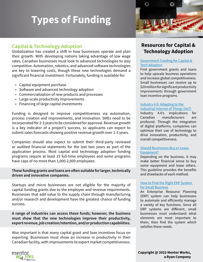

## <span id="page-9-0"></span>**Capital & Technology Adoption**

Globalization has created a shift in how businesses operate and plan their growth. With developing nations taking advantage of low wage rates, Canadian businesses must look to advanced technologies to stay competitive. Automation, robotics, and advanced software technologies are key to lowering costs, though these new technologies demand a significant financial investment. Fortunately, funding is available for:

- Capital equipment purchase
- Software and advanced technology adoption
- Commercialization of new products and processes
- Large-scale productivity improvements
- Financing of large capital investments

Funding is designed to improve competitiveness via automation, process creation and improvements, and innovation. SMEs need to be incorporated for 2-3 years to be considered for approval. Revenue growth is a key indicator of a project's success, so applicants can expect to submit sales forecasts showing positive revenue growth over 1-3 years.

Companies should also expect to submit their third-party reviewed or audited financial statements for the last two years as part of the application process. Most capital and technology adoption funding programs require at least 15 full-time employees and some programs have caps of no more than 1,000-2,000 employees.

### **These funding grants and loans are often suitable for larger, technically driven and innovative companies.**

Startups and micro businesses are not eligible for the majority of capital funding grants due to the employee and revenue requirements. Businesses that add value to the supply chain through manufacturing and/or research and development have the greatest chance of funding success.

**A range of industries can access these funds; however, the business must show that the new technologies improve their productivity, export revenue, job creation/retention, and/or production capabilities.**

Also important is that many capital grant and loan incentives focus on exporting. Businesses must show an increase in productivity in their Canadian facility, with improvements to export market competitiveness.

# **Resources for Capital & Technology Adoption**

### [Government Funding for Capital &](https://bit.ly/2waNLHY)  [Tech Adoption](https://bit.ly/2waNLHY)

Find government grants and loans to help upscale business operations and increase global competitiveness. Small businesses can receive up to \$20 million for significant productivity improvements through government loan incentive programs.

#### [Industry 4.0: Adapting to the](https://bit.ly/2MyJBUe)  [Industrial Internet of Things \(IIoT\)](https://bit.ly/2MyJBUe)

Industry 4.0's implications for Canadian manufacturers are profound. Through the integration of digital platforms, companies can optimize their use of technology to drive innovation, productivity, and overall competitiveness.

### [Should Businesses Buy or Lease](https://bit.ly/1GPhfXn)  [Equipment?](https://bit.ly/1GPhfXn)

Depending on the business, it may make better financial sense to buy some equipment and lease others. This guideline provides the benefits and drawbacks of each method.

### [How to Find the Right ERP System](http://bit.ly/2P2vNhF)  [for Small Business](http://bit.ly/2P2vNhF)

An Enterprise Resource Planning (ERP) system can help businesses to automate and efficiently manage a variety of key functions. Since all ERP systems are different, small businesses must understand what elements are most important to them, then find the system which satisfies these needs.

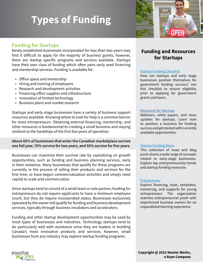

## <span id="page-10-0"></span>**Funding for Startups**

Newly established businesses incorporated for less than two years may find it difficult to apply for the majority of business grants; however, there are startup specific programs and services available. Startups have their own class of funding which often pairs early seed financing and mentorship services. Funding is available for:

- Office space and mentorship
- Hiring and training of employees
- Research and development activities
- Financing office supplies and infrastructure
- Innovation of limited technology
- Business plans and market research

Startups and early-stage businesses have a variety of business support resources available. Knowing where to look for help is a common barrier for most entrepreneurs. Obtaining external financing, mentorship, and other resources is fundamental to creating a small business and staying resilient to the hardships of the first few years of operation.

### **About 85% of businesses that enter the Canadian marketplace survive one full year, 70% survive for two years, and 50% survive for five years.**

Businesses can maximize their survival rate by capitalizing on growth opportunities, such as funding and business planning services, early in their existence. Many businesses that qualify for these programs are currently in the process of selling their products and services for the first time, or have begun commercialization activities and simply need capital to scale and commercialize.

Since startups tend to consist of a small team or sole partner, funding for entrepreneurs do not require applicants to have a minimum employee count, but they do require incorporated status. Businesses exclusively operated by the owner still qualify for funding and business development services, typically through business incubators and accelerators.

Funding and other startup development opportunities may be used by most types of businesses and industries. Technology startups tend to do particularly well with assistance since they are leaders in building Canada's most innovative products and services; however, small businesses from any industry may explore startup funding programs.

# **Funding and Resources for Startups**

### [Startup Funding Checklist](https://bit.ly/2wmpvli)

How can startups and early stage businesses position themselves for government funding success? Use this checklist to ensure eligibility prior to applying for government grants and loans.

### [Resources for Startups](https://bit.ly/2wm5zza)

Webinars, white papers, and news updates for startups. Learn how to position a business for funding success and get started with currently available opportunities.

### [Startup Funding News](http://bit.ly/2P72cnx)

This collection of news and blog posts shares a wide range of concepts related to early-stage businesses. Explore top entrepreneurship trends and startup funding resources.

### **[Futurpreneur](http://bit.ly/2PxYTGN)**

Explore financing, tools, templates, mentoring, and supports for young entrepreneurs. The organization matches entrepreneurial youth with experienced business owners for an unparalleled learning experience.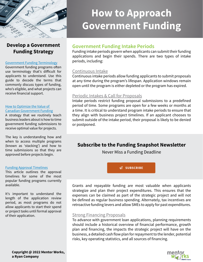<span id="page-11-0"></span>

# **Develop a Government Funding Strategy**

#### [Government Funding Terminology](http://bit.ly/2P073Xi)

Government funding programs often use terminology that's difficult for applicants to understand. Use this guide to decode the terms that commonly discuss types of funding, who's eligible, and what projects can receive financial support.

#### [How to Optimize the Value of](http://bit.ly/2P3829o)  [Canadian Government Funding](http://bit.ly/2P3829o)

A strategy that we routinely teach business leaders about is how to time government funding submissions to receive optimal value for projects.

The key is understanding how and when to access multiple programs (known as 'stacking') and how to time submissions so that they are approved before projects begin.

#### [Funding Approval Timelines](http://bit.ly/2P2VMWl)

This article outlines the approval timelines for some of the most popular funding programs currently available.

It's important to understand the length of the application review period, as most programs do not allow applicants to start their spend or project tasks until formal approval of their application.

# **How to Approach Government Funding**

# **Government Funding Intake Periods**

Funding intake periods govern when applicants can submit their funding applications and begin their spends. There are two types of intake periods, including:

### Continuous Intake

Continuous intake periods allow funding applicants to submit proposals at any time during the program's lifespan. Application windows remain open until the program is either depleted or the program has expired.

### Periodic Intakes & Call for Proposals

Intake periods restrict funding proposal submissions to a predefined period of time. Some programs are open for a few weeks or months at a time. It is critical to understand program intake periods to ensure that they align with business project timelines. If an applicant chooses to submit outside of the intake period, their proposal is likely to be denied or postponed.

# **Subscribe to the Funding Snapshot Newsletter**

Never Miss a Funding Deadline



Grants and repayable funding are most valuable when applicants strategize and plan their project expenditures. This ensures that the expenses can be claimed as part of the strategic project and will not be defined as regular business spending. Alternately, tax incentives are retroactive funding levers and allow SMEs to apply for past expenditures.

### Strong Financing Proposals

To advance with government loan applications, planning requirements should include a historical overview of financial performance, growth plan and financing, the impacts the strategic project will have on the business, a detailed cash flow plan for repayment to the lender, potential risks, key operating statistics, and all sources of financing.

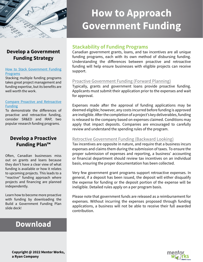<span id="page-12-0"></span>

# **How to Approach Government Funding**

# **Develop a Government Funding Strategy**

#### [How to Stack Government Funding](http://bit.ly/2P08JQE) [Programs](http://bit.ly/2P08JQE)

Stacking multiple funding programs takes great project management and funding expertise, but its benefits are well worth the work.

### [Compare Proactive and Retroactive](http://bit.ly/2P2wTKj) [Funding](http://bit.ly/2P2wTKj)

To demonstrate the differences of proactive and retroactive funding, consider SR&ED and IRAP, two popular research funding programs.

## **Develop a Proactive Funding Plan™**

Often, Canadian businesses miss out on grants and loans because they don't have a clear view of what funding is available or how it relates to upcoming projects. This leads to a "reactive" funding approach where projects and financing are planned independently.

Learn how to become more proactive with funding by downloading the Build a Government Funding Plan slide deck!

# **[Download](http://bit.ly/2OWOqn2)**

### **Stackability of Funding Programs**

Canadian government grants, loans, and tax incentives are all unique funding programs, each with its own method of disbursing funding. Understanding the differences between proactive and retroactive funding will help ensure businesses with eligible projects can receive support.

### Proactive Government Funding (Forward Planning)

Typically, grants and government loans provide proactive funding. Applicants must submit their application prior to the expenses and wait for approval.

Expenses made after the approval of funding applications may be deemed eligible; however, any costs incurred before funding is approved are ineligible. After the completion of a project's key deliverables, funding is released to the company based on expenses claimed. Conditions may apply that impact deposits. Companies are encouraged to carefully review and understand the spending rules of the program.

### Retroctive Government Funding (Backward Looking)

Tax incentives are opposite in nature, and require that a business incurs expenses and claims them during the submission of taxes. To ensure the proper submission of expenses and reporting, a business' accounting or financial department should review tax incentives on an individual basis, ensuring the proper documentation has been collected.

Very few government grant programs support retroactive expenses. In general, if a deposit has been issued, the deposit will either disqualify the expense for funding or the deposit portion of the expense will be ineligible. Detailed rules apply on a per program basis.

Please note that government funds are released as a reimbursement for expenses. Without incurring the expenses proposed through funding applications, a business will not be able to receive their full awarded contribution.

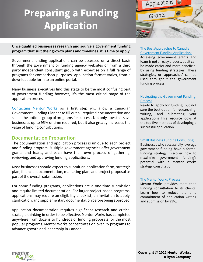# <span id="page-13-0"></span>**Preparing a Funding Application**



**Once qualified businesses research and source a government funding program that suit their growth plans and timelines, it is time to apply.** 

Government funding applications can be accessed on a direct basis through the government or funding agency websites or from a third party independent consultant group with expertise on a full range of programs for comparison purposes. Application format varies, from a downloadable form to an online portal.

Many business executives find this stage to be the most confusing part of government funding; however, it's the most critical stage of the application process.

[Contacting Mentor Works](http://bit.ly/2NhbeOe) as a first step will allow a Canadian Government Funding Planner to fill out all required documentation and select the optimal group of programs for success. Not only does this save businesses up to 95% of time required, but it also greatly increases the value of funding contributions.

### **Documentation Preparation**

The documentation and application process is unique to each project and funding program. Multiple government agencies offer government grants and loans, and each have their own process of gathering, reviewing, and approving funding applications.

Most businesses should expect to submit an application form, strategic plan, financial documentation, marketing plan, and project proposal as part of the overall submission.

For some funding programs, applications are a one-time submission and require limited documentation. For larger project-based programs, applications may require an eligibility checklist, an invitation to apply, clarification, and supplementary documentation before being approved.

Application documentation requires significant research and critical strategic thinking in order to be effective. Mentor Works has completed anywhere from dozens to hundreds of funding proposals for the most popular programs. Mentor Works concentrates on over 75 programs to advance growth and leadership in Canada.

### [The Best Approaches to Canadian](http://bit.ly/2OZ6DR9)  [Government Funding Applications](http://bit.ly/2OZ6DR9)

Accessing government grants and loans is not an easy process, but it can be made easier and more beneficial by using funding strategies. These strategies, or 'approaches' can be used throughout the government funding process.

### [Navigating the Government Funding](http://bit.ly/2OZ7Don)  [Process](http://bit.ly/2OZ7Don)

Ready to apply for funding, but not sure the best option for researching, writing, and submitting your application? This resource looks at the top five methods of developing a successful application.

### [Small Business Funding Consulting](http://bit.ly/2OZ3UHo)

Businesses who successfully leverage government funding have a formal funding strategy. Discover how to maximize government funding's potential with a Mentor Works strategy consultation.

### [The Mentor Works P](https://www.mentorworks.ca/our-process/)rocess

Mentor Works provides more than funding consultation to its clients. Learn how to reduce the time commitment of application writing and submission by 95%.

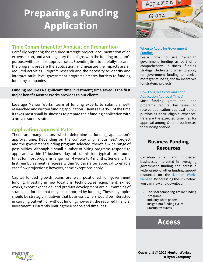# <span id="page-14-0"></span>**Preparing a Funding Application**



# **Time Commitment for Application Preparation**

Carefully preparing the required strategic project, documentation of an expense plan, and a strong story that aligns with the funding program's purpose will maximize approval rates. Spending time to carefully research the program, prepare the application, and measure the impacts are all required activities. Program research and the necessity to identify and interpret multi-level government programs creates barriers to funding for many companies.

**Funding requires a significant time investment; time saved is the first major benefit Mentor Works provides to our clients.** 

Leverage Mentor Works' team of funding experts to submit a wellresearched and written funding application. Clients save 95% of the time it takes most small businesses to prepare their funding application with a proven success rate.

### **Application Approval Rates**

There are many factors which determine a funding application's approval time. Depending on the complexity of a business' project and the government funding program selected, there's a wide range of possibilities. Although a small number of hiring programs respond to applicants within 10 business days of submission, typical turnaround times for most programs range from 4 weeks to 4 months. Generally, the first reimbursement is release within 90 days after approval to enable cash flow projections; however, some exceptions apply.

Capital funded growth plans are well positioned for government funding. Investing in new locations, technologies, equipment, skilled works, export expansion, and product development are all examples of strategic priorities that may be supported by funding. These key topics should be strategic initiatives that business owners would be interested in carrying out with or without funding; however, the required financial investment is currently limiting their scope and timelines.

### [When to Apply for Government](http://bit.ly/2P3DIv1)  [Funding](http://bit.ly/2P3DIv1)

Learn how to use Canadian government funding as part of a comprehensive business funding strategy. Understand when to apply for government funding to receive more grants, loans, and tax incentives for strategic projects.

### [How Long are Grant and Loan](http://bit.ly/2NeRsCS)  [Application Approval Times?](http://bit.ly/2NeRsCS)

Most funding grant and loan programs require businesses to receive application approval before purchasing their eligible expenses. Here are the expected timelines for approval among Ontario businesses top funding options.

# **Business Funding Resources**

Canadian small and mid-sized businesses interested in leveraging government funding can access a wide variety of other funding support resources on the [Mentor Works](http://bit.ly/2Muzksv)  [website](http://bit.ly/2Muzksv). By accessing the link below, you can view and download:

- Tools for comparing similar funding programs
- Industry white papers
- Insight into funding cycles
- Startup resources

# **[Access](http://bit.ly/2MxlR36)**